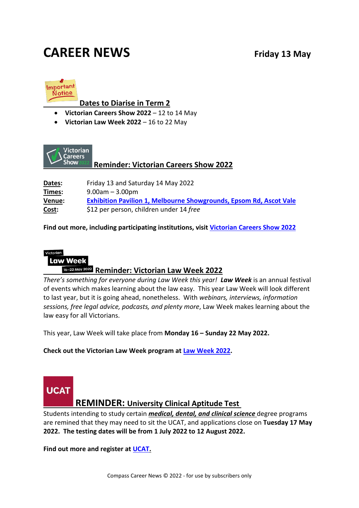# **CAREER NEWS Friday 13 May**



#### **Dates to Diarise in Term 2**

- **Victorian Careers Show 2022** 12 to 14 May
- **Victorian Law Week 2022** 16 to 22 May



#### **Reminder: Victorian Careers Show 2022**

**Dates:** Friday 13 and Saturday 14 May 2022 **Times:** 9.00am – 3.00pm **Venue: [Exhibition Pavilion 1, Melbourne Showgrounds, Epsom Rd, Ascot Vale](https://www.google.com/maps/search/?api=1&query=Exhibition+Pavilion%2C+Flemington+VIC) Cost:** \$12 per person, children under 14 *free*

**Find out more, including participating institutions, visit [Victorian Careers Show 2022](https://www.victoriancareersshow.com.au/)**

Victorian **Law Week Reminder: Victorian Law Week 2022**

*There's something for everyone during Law Week this year! Law Week* is an annual festival of events which makes learning about the law easy. This year Law Week will look different to last year, but it is going ahead, nonetheless. With *webinars, interviews, information sessions, free legal advice, podcasts, and plenty more*, Law Week makes learning about the law easy for all Victorians.

This year, Law Week will take place from **Monday 16 – Sunday 22 May 2022.**

**Check out the Victorian Law Week program at [Law Week 2022.](https://lawweek.net.au/)**



#### **REMINDER: University Clinical Aptitude Test**

Students intending to study certain *medical, dental, and clinical science* degree programs are remined that they may need to sit the UCAT, and applications close on **Tuesday 17 May 2022. The testing dates will be from 1 July 2022 to 12 August 2022.**

**Find out more and register at [UCAT.](https://www.ucat.edu.au/)**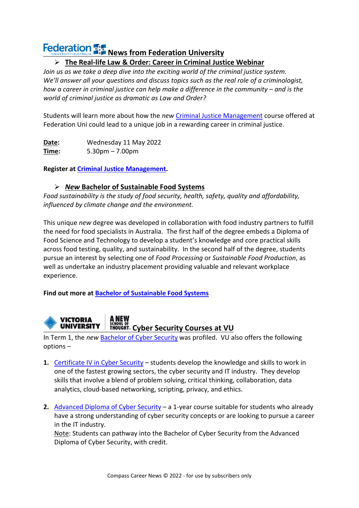# **Federation <b>REP** News from Federation University

#### **The Real-life Law & Order: Career in Criminal Justice Webinar**

*Join us as we take a deep dive into the exciting world of the criminal justice system. We'll answer all your questions and discuss topics such as the real role of a criminologist, how a career in criminal justice can help make a difference in the community – and is the world of criminal justice as dramatic as Law and Order?*

Students will learn more about how the *new* [Criminal Justice Management](https://study.federation.edu.au/course/DHG5) course offered at Federation Uni could lead to a unique job in a rewarding career in criminal justice.

**Date:** Wednesday 11 May 2022 **Time:** 5.30pm – 7.00pm

**Register at [Criminal Justice Management.](https://events.federation.edu.au/event/sessions?id=Criminal_Justice_Management_The_real_life_Law_Order2745354756)** 

#### *New* **Bachelor of Sustainable Food Systems**

*Food sustainability is the study of food security, health, safety, quality and affordability, influenced by climate change and the environment.* 

This unique *new* degree was developed in collaboration with food industry partners to fulfill the need for food specialists in Australia. The first half of the degree embeds a Diploma of Food Science and Technology to develop a student's knowledge and core practical skills across food testing, quality, and sustainability. In the second half of the degree, students pursue an interest by selecting one of *Food Processing* or *Sustainable Food Production*, as well as undertake an industry placement providing valuable and relevant workplace experience.

**Find out more at [Bachelor of Sustainable Food Systems](https://study.federation.edu.au/course/DFS5#msdynttrid=RJjEDv4hCg8P0mABe-tszy6erT9K3G_B_zIXjstPyLs)**

A NEW **VICTORIA UNIVERSITY** 

## **Cyber Security Courses at VU**

In Term 1, the *new* [Bachelor of Cyber Security](https://www.vu.edu.au/courses/bachelor-of-cyber-security-nbcs) was profiled. VU also offers the following options –

- **1.** [Certificate IV in Cyber Security](https://www.vu.edu.au/courses/certificate-iv-in-cyber-security-22334vic) students develop the knowledge and skills to work in one of the fastest growing sectors, the cyber security and IT industry. They develop skills that involve a blend of problem solving, critical thinking, collaboration, data analytics, cloud-based networking, scripting, privacy, and ethics.
- **2.** [Advanced Diploma of Cyber Security](https://www.vu.edu.au/courses/advanced-diploma-of-cyber-security-22445vic) a 1-year course suitable for students who already have a strong understanding of cyber security concepts or are looking to pursue a career in the IT industry.

Note: Students can pathway into the Bachelor of Cyber Security from the Advanced Diploma of Cyber Security, with credit.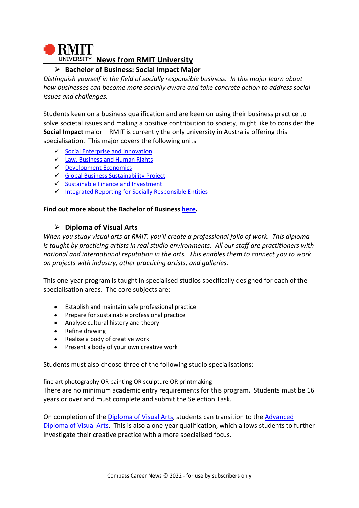# **BMIT UNIVERSITY News from RMIT University**

#### **Bachelor of Business: Social Impact Major**

*Distinguish yourself in the field of socially responsible business. In this major learn about how businesses can become more socially aware and take concrete action to address social issues and challenges.*

Students keen on a business qualification and are keen on using their business practice to solve societal issues and making a positive contribution to society, might like to consider the **Social Impact** major – RMIT is currently the only university in Australia offering this specialisation. This major covers the following units –

- $\checkmark$  [Social Enterprise and Innovation](http://www.rmit.edu.au/courses/052815)
- $\checkmark$  [Law, Business and Human Rights](http://www.rmit.edu.au/courses/054025)
- [Development Economics](http://www.rmit.edu.au/courses/044121)
- $\checkmark$  [Global Business Sustainability Project](http://www.rmit.edu.au/courses/054187)
- $\checkmark$  [Sustainable Finance and Investment](http://www.rmit.edu.au/courses/054400)
- $\checkmark$  [Integrated Reporting for Socially Responsible Entities](http://www.rmit.edu.au/courses/054389)

#### **Find out more about the Bachelor of Business [here.](https://www.rmit.edu.au/study-with-us/business/the-future-of-business)**

#### **Diploma of Visual Arts**

*When you study visual arts at RMIT, you'll create a professional folio of work. This diploma is taught by practicing artists in real studio environments. All our staff are practitioners with national and international reputation in the arts. This enables them to connect you to work on projects with industry, other practicing artists, and galleries.*

This one-year program is taught in specialised studios specifically designed for each of the specialisation areas. The core subjects are:

- Establish and maintain safe professional practice
- Prepare for sustainable professional practice
- Analyse cultural history and theory
- Refine drawing
- Realise a body of creative work
- Present a body of your own creative work

Students must also choose three of the following studio specialisations:

fine art photography OR painting OR sculpture OR printmaking There are no minimum academic entry requirements for this program. Students must be 16 years or over and must complete and submit the Selection Task.

On completion of the [Diploma of Visual Arts,](https://www.rmit.edu.au/study-with-us/levels-of-study/vocational-study/diplomas/diploma-of-visual-arts-c5414) students can transition to the [Advanced](https://www.rmit.edu.au/content/rmit-ui/en/study-with-us/levels-of-study/vocational-study/advanced-diplomas/c6149.html)  [Diploma of Visual Arts.](https://www.rmit.edu.au/content/rmit-ui/en/study-with-us/levels-of-study/vocational-study/advanced-diplomas/c6149.html) This is also a one-year qualification, which allows students to further investigate their creative practice with a more specialised focus.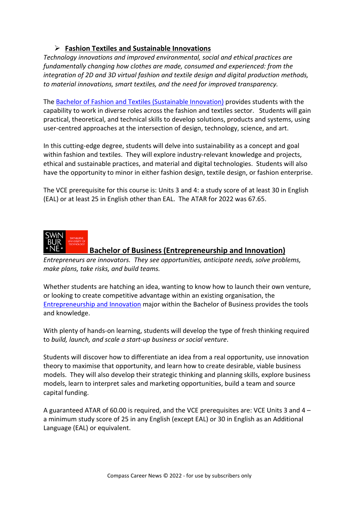#### **Fashion Textiles and Sustainable Innovations**

*Technology innovations and improved environmental, social and ethical practices are fundamentally changing how clothes are made, consumed and experienced: from the integration of 2D and 3D virtual fashion and textile design and digital production methods, to material innovations, smart textiles, and the need for improved transparency.*

The [Bachelor of Fashion and Textiles \(Sustainable Innovation\)](https://www.rmit.edu.au/study-with-us/levels-of-study/undergraduate-study/bachelor-degrees/bp326) provides students with the capability to work in diverse roles across the fashion and textiles sector. Students will gain practical, theoretical, and technical skills to develop solutions, products and systems, using user-centred approaches at the intersection of design, technology, science, and art.

In this cutting-edge degree, students will delve into sustainability as a concept and goal within fashion and textiles. They will explore industry-relevant knowledge and projects, ethical and sustainable practices, and material and digital technologies. Students will also have the opportunity to minor in either fashion design, textile design, or fashion enterprise.

The VCE prerequisite for this course is: Units 3 and 4: a study score of at least 30 in English (EAL) or at least 25 in English other than EAL. The ATAR for 2022 was 67.65.



#### **Bachelor of Business (Entrepreneurship and Innovation)**

*Entrepreneurs are innovators. They see opportunities, anticipate needs, solve problems, make plans, take risks, and build teams.*

Whether students are hatching an idea, wanting to know how to launch their own venture, or looking to create competitive advantage within an existing organisation, the [Entrepreneurship and Innovation](https://www.swinburne.edu.au/study/course/bachelor-of-business/entrepreneurship-and-innovation/) major within the Bachelor of Business provides the tools and knowledge.

With plenty of hands-on learning, students will develop the type of fresh thinking required to *build, launch, and scale a start-up business or social venture*.

Students will discover how to differentiate an idea from a real opportunity, use innovation theory to maximise that opportunity, and learn how to create desirable, viable business models. They will also develop their strategic thinking and planning skills, explore business models, learn to interpret sales and marketing opportunities, build a team and source capital funding.

A guaranteed ATAR of 60.00 is required, and the VCE prerequisites are: VCE Units 3 and 4 – a minimum study score of 25 in any English (except EAL) or 30 in English as an Additional Language (EAL) or equivalent.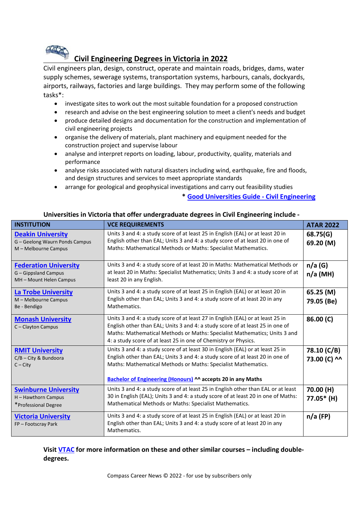

### **Civil Engineering Degrees in Victoria in 2022**

[Civil engi](http://bricks.stackexchange.com/questions/1432/how-to-build-bridge-using-4-5-12v-train-rails-from-1969-lego-brochure)neers plan, design, construct, operate and maintain roads, bridges, dams, water supply schemes, sewerage systems, transportation systems, harbours, canals, dockyards, airports, railways, factories and large buildings. They may perform some of the following tasks\*:

- investigate sites to work out the most suitable foundation for a proposed construction
- [•](https://creativecommons.org/licenses/by-sa/3.0/) [re](https://creativecommons.org/licenses/by-sa/3.0/)search and advise on the best engineering solution to meet a client's needs and budget
- produce detailed designs and documentation for the construction and implementation of civil engineering projects
- organise the delivery of materials, plant machinery and equipment needed for the construction project and supervise labour
- analyse and interpret reports on loading, labour, productivity, quality, materials and performance
- analyse risks associated with natural disasters including wind, earthquake, fire and floods, and design structures and services to meet appropriate standards
- arrange for geological and geophysical investigations and carry out feasibility studies

**\* [Good Universities Guide -](https://www.gooduniversitiesguide.com.au/careers-guide/browse/civil-engineer) Civil Engineering** 

| <b>INSTITUTION</b>                                                                 | <b>VCE REQUIREMENTS</b>                                                                                                                                                                                                                                                                                         | <b>ATAR 2022</b>            |
|------------------------------------------------------------------------------------|-----------------------------------------------------------------------------------------------------------------------------------------------------------------------------------------------------------------------------------------------------------------------------------------------------------------|-----------------------------|
| <b>Deakin University</b><br>G - Geelong Waurn Ponds Campus<br>M - Melbourne Campus | Units 3 and 4: a study score of at least 25 in English (EAL) or at least 20 in<br>English other than EAL; Units 3 and 4: a study score of at least 20 in one of<br>Maths: Mathematical Methods or Maths: Specialist Mathematics.                                                                                | 68.75(G)<br>69.20 (M)       |
| <b>Federation University</b><br>G - Gippsland Campus<br>MH - Mount Helen Campus    | Units 3 and 4: a study score of at least 20 in Maths: Mathematical Methods or<br>at least 20 in Maths: Specialist Mathematics; Units 3 and 4: a study score of at<br>least 20 in any English.                                                                                                                   | n/a(G)<br>$n/a$ (MH)        |
| <b>La Trobe University</b><br>M - Melbourne Campus<br>Be - Bendigo                 | Units 3 and 4: a study score of at least 25 in English (EAL) or at least 20 in<br>English other than EAL; Units 3 and 4: a study score of at least 20 in any<br>Mathematics.                                                                                                                                    | 65.25 (M)<br>79.05 (Be)     |
| <b>Monash University</b><br>C-Clayton Campus                                       | Units 3 and 4: a study score of at least 27 in English (EAL) or at least 25 in<br>English other than EAL; Units 3 and 4: a study score of at least 25 in one of<br>Maths: Mathematical Methods or Maths: Specialist Mathematics; Units 3 and<br>4: a study score of at least 25 in one of Chemistry or Physics. | 86.00 (C)                   |
| <b>RMIT University</b><br>$C/B$ - City & Bundoora<br>$C - City$                    | Units 3 and 4: a study score of at least 30 in English (EAL) or at least 25 in<br>English other than EAL; Units 3 and 4: a study score of at least 20 in one of<br>Maths: Mathematical Methods or Maths: Specialist Mathematics.<br>Bachelor of Engineering (Honours) ^^ accepts 20 in any Maths                | 78.10 (C/B)<br>73.00 (C) ^^ |
| <b>Swinburne University</b><br>H - Hawthorn Campus<br>*Professional Degree         | Units 3 and 4: a study score of at least 25 in English other than EAL or at least<br>30 in English (EAL); Units 3 and 4: a study score of at least 20 in one of Maths:<br>Mathematical Methods or Maths: Specialist Mathematics.                                                                                | 70.00 (H)<br>77.05* (H)     |
| <b>Victoria University</b><br>FP-Footscray Park                                    | Units 3 and 4: a study score of at least 25 in English (EAL) or at least 20 in<br>English other than EAL; Units 3 and 4: a study score of at least 20 in any<br>Mathematics.                                                                                                                                    | $n/a$ (FP)                  |

#### **Universities in Victoria that offer undergraduate degrees in Civil Engineering include -**

**Visi[t VTAC](http://www.vtac.edu.au/) for more information on these and other similar courses – including doubledegrees.**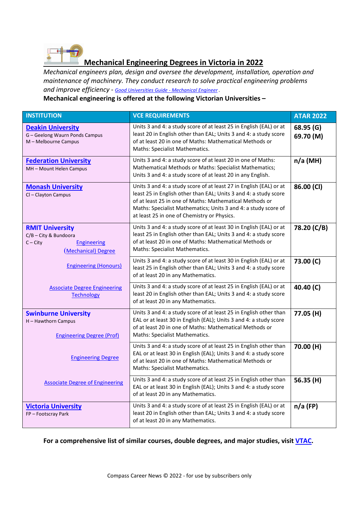

### **Mechanical Engineering Degrees in Victoria in 2022**

*Mechanical engineers plan, design and oversee the development, installation, operation and maintenance of machinery. They conduct research to solve practical engineering problems and improve efficiency - [Good Universities Guide -](https://www.gooduniversitiesguide.com.au/careers-guide/browse/mechanical-engineer) Mechanical Engineer .*

#### **Mechanical engineering is offered at the following Victorian Universities –**

| <b>INSTITUTION</b>                                                                                         | <b>VCE REQUIREMENTS</b>                                                                                                                                                                                                                                                                                            | <b>ATAR 2022</b>       |
|------------------------------------------------------------------------------------------------------------|--------------------------------------------------------------------------------------------------------------------------------------------------------------------------------------------------------------------------------------------------------------------------------------------------------------------|------------------------|
| <b>Deakin University</b><br>G - Geelong Waurn Ponds Campus<br>M - Melbourne Campus                         | Units 3 and 4: a study score of at least 25 in English (EAL) or at<br>least 20 in English other than EAL; Units 3 and 4: a study score<br>of at least 20 in one of Maths: Mathematical Methods or<br>Maths: Specialist Mathematics.                                                                                | 68.95 (G)<br>69.70 (M) |
| <b>Federation University</b><br>MH - Mount Helen Campus                                                    | Units 3 and 4: a study score of at least 20 in one of Maths:<br>Mathematical Methods or Maths: Specialist Mathematics;<br>Units 3 and 4: a study score of at least 20 in any English.                                                                                                                              | $n/a$ (MH)             |
| <b>Monash University</b><br>Cl-Clayton Campus                                                              | Units 3 and 4: a study score of at least 27 in English (EAL) or at<br>least 25 in English other than EAL; Units 3 and 4: a study score<br>of at least 25 in one of Maths: Mathematical Methods or<br>Maths: Specialist Mathematics; Units 3 and 4: a study score of<br>at least 25 in one of Chemistry or Physics. | 86.00 (CI)             |
| <b>RMIT University</b><br>C/B - City & Bundoora<br>$C - City$<br><b>Engineering</b><br>(Mechanical) Degree | Units 3 and 4: a study score of at least 30 in English (EAL) or at<br>least 25 in English other than EAL; Units 3 and 4: a study score<br>of at least 20 in one of Maths: Mathematical Methods or<br>Maths: Specialist Mathematics.                                                                                | 78.20 (C/B)            |
| <b>Engineering (Honours)</b>                                                                               | Units 3 and 4: a study score of at least 30 in English (EAL) or at<br>least 25 in English other than EAL; Units 3 and 4: a study score<br>of at least 20 in any Mathematics.                                                                                                                                       | 73.00 (C)              |
| <b>Associate Degree Engineering</b><br><b>Technology</b>                                                   | Units 3 and 4: a study score of at least 25 in English (EAL) or at<br>least 20 in English other than EAL; Units 3 and 4: a study score<br>of at least 20 in any Mathematics.                                                                                                                                       | 40.40 (C)              |
| <b>Swinburne University</b><br>H - Hawthorn Campus<br><b>Engineering Degree (Prof)</b>                     | Units 3 and 4: a study score of at least 25 in English other than<br>EAL or at least 30 in English (EAL); Units 3 and 4: a study score<br>of at least 20 in one of Maths: Mathematical Methods or<br>Maths: Specialist Mathematics.                                                                                | 77.05 (H)              |
| <b>Engineering Degree</b>                                                                                  | Units 3 and 4: a study score of at least 25 in English other than<br>EAL or at least 30 in English (EAL); Units 3 and 4: a study score<br>of at least 20 in one of Maths: Mathematical Methods or<br>Maths: Specialist Mathematics.                                                                                | 70.00 (H)              |
| <b>Associate Degree of Engineering</b>                                                                     | Units 3 and 4: a study score of at least 25 in English other than<br>EAL or at least 30 in English (EAL); Units 3 and 4: a study score<br>of at least 20 in any Mathematics.                                                                                                                                       | 56.35 (H)              |
| <b>Victoria University</b><br>FP-Footscray Park                                                            | Units 3 and 4: a study score of at least 25 in English (EAL) or at<br>least 20 in English other than EAL; Units 3 and 4: a study score<br>of at least 20 in any Mathematics.                                                                                                                                       | $n/a$ (FP)             |

**For a comprehensive list of similar courses, double degrees, and major studies, visit [VTAC.](http://www.vtac.edu.au/)**